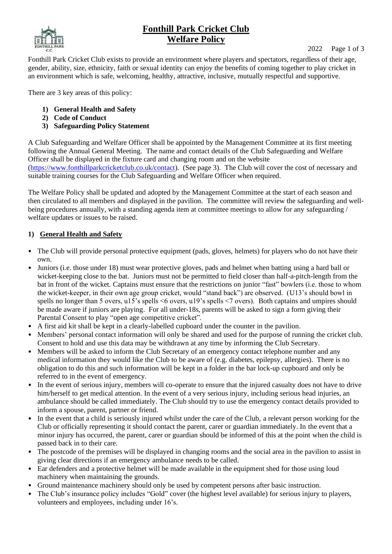# **Fonthill Park Cricket Club Welfare Policy**

2022 Page 1 of 3

Fonthill Park Cricket Club exists to provide an environment where players and spectators, regardless of their age, gender, ability, size, ethnicity, faith or sexual identity can enjoy the benefits of coming together to play cricket in an environment which is safe, welcoming, healthy, attractive, inclusive, mutually respectful and supportive.

There are 3 key areas of this policy:

- **1) General Health and Safety**
- **2) Code of Conduct**
- **3) Safeguarding Policy Statement**

A Club Safeguarding and Welfare Officer shall be appointed by the Management Committee at its first meeting following the Annual General Meeting. The name and contact details of the Club Safeguarding and Welfare Officer shall be displayed in the fixture card and changing room and on the website [\(https://www.fonthillparkcricketclub.co.uk/contact\)](https://www.fonthillparkcricketclub.co.uk/contact). (See page 3). The Club will cover the cost of necessary and suitable training courses for the Club Safeguarding and Welfare Officer when required.

The Welfare Policy shall be updated and adopted by the Management Committee at the start of each season and then circulated to all members and displayed in the pavilion. The committee will review the safeguarding and wellbeing procedures annually, with a standing agenda item at committee meetings to allow for any safeguarding / welfare updates or issues to be raised.

#### **1) General Health and Safety**

- The Club will provide personal protective equipment (pads, gloves, helmets) for players who do not have their own.
- Juniors (i.e. those under 18) must wear protective gloves, pads and helmet when batting using a hard ball or wicket-keeping close to the bat. Juniors must not be permitted to field closer than half-a-pitch-length from the bat in front of the wicket. Captains must ensure that the restrictions on junior "fast" bowlers (i.e. those to whom the wicket-keeper, in their own age group cricket, would "stand back") are observed. (U13's should bowl in spells no longer than 5 overs, u15's spells <6 overs, u19's spells <7 overs). Both captains and umpires should be made aware if juniors are playing. For all under-18s, parents will be asked to sign a form giving their Parental Consent to play "open age competitive cricket".
- A first aid kit shall be kept in a clearly-labelled cupboard under the counter in the pavilion.
- Members' personal contact information will only be shared and used for the purpose of running the cricket club. Consent to hold and use this data may be withdrawn at any time by informing the Club Secretary.
- Members will be asked to inform the Club Secretary of an emergency contact telephone number and any medical information they would like the Club to be aware of (e.g. diabetes, epilepsy, allergies). There is no obligation to do this and such information will be kept in a folder in the bar lock-up cupboard and only be referred to in the event of emergency.
- In the event of serious injury, members will co-operate to ensure that the injured casualty does not have to drive him/herself to get medical attention. In the event of a very serious injury, including serious head injuries, an ambulance should be called immediately. The Club should try to use the emergency contact details provided to inform a spouse, parent, partner or friend.
- In the event that a child is seriously injured whilst under the care of the Club, a relevant person working for the Club or officially representing it should contact the parent, carer or guardian immediately. In the event that a minor injury has occurred, the parent, carer or guardian should be informed of this at the point when the child is passed back in to their care.
- The postcode of the premises will be displayed in changing rooms and the social area in the pavilion to assist in giving clear directions if an emergency ambulance needs to be called.
- Ear defenders and a protective helmet will be made available in the equipment shed for those using loud machinery when maintaining the grounds.
- Ground maintenance machinery should only be used by competent persons after basic instruction.
- The Club's insurance policy includes "Gold" cover (the highest level available) for serious injury to players, volunteers and employees, including under 16's.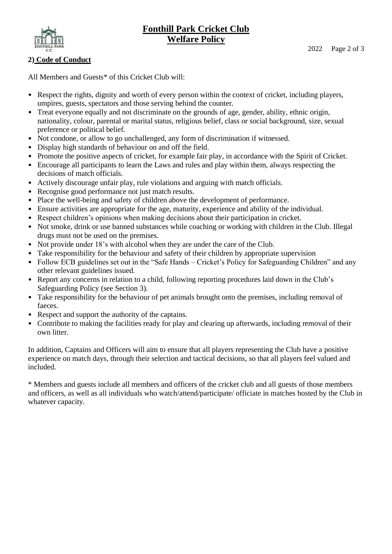# **Fonthill Park Cricket Club Welfare Policy**



## **2) Code of Conduct**

All Members and Guests\* of this Cricket Club will:

- Respect the rights, dignity and worth of every person within the context of cricket, including players, umpires, guests, spectators and those serving behind the counter.
- Treat everyone equally and not discriminate on the grounds of age, gender, ability, ethnic origin, nationality, colour, parental or marital status, religious belief, class or social background, size, sexual preference or political belief.
- Not condone, or allow to go unchallenged, any form of discrimination if witnessed.
- Display high standards of behaviour on and off the field.
- Promote the positive aspects of cricket, for example fair play, in accordance with the Spirit of Cricket.
- Encourage all participants to learn the Laws and rules and play within them, always respecting the decisions of match officials.
- Actively discourage unfair play, rule violations and arguing with match officials.
- Recognise good performance not just match results.
- Place the well-being and safety of children above the development of performance.
- Ensure activities are appropriate for the age, maturity, experience and ability of the individual.
- Respect children's opinions when making decisions about their participation in cricket.
- Not smoke, drink or use banned substances while coaching or working with children in the Club. Illegal drugs must not be used on the premises.
- Not provide under 18's with alcohol when they are under the care of the Club.
- Take responsibility for the behaviour and safety of their children by appropriate supervision
- Follow ECB guidelines set out in the "Safe Hands Cricket's Policy for Safeguarding Children" and any other relevant guidelines issued.
- Report any concerns in relation to a child, following reporting procedures laid down in the Club's Safeguarding Policy (see Section 3).
- Take responsibility for the behaviour of pet animals brought onto the premises, including removal of faeces.
- Respect and support the authority of the captains.
- Contribute to making the facilities ready for play and clearing up afterwards, including removal of their own litter.

In addition, Captains and Officers will aim to ensure that all players representing the Club have a positive experience on match days, through their selection and tactical decisions, so that all players feel valued and included.

\* Members and guests include all members and officers of the cricket club and all guests of those members and officers, as well as all individuals who watch/attend/participate/ officiate in matches hosted by the Club in whatever capacity.